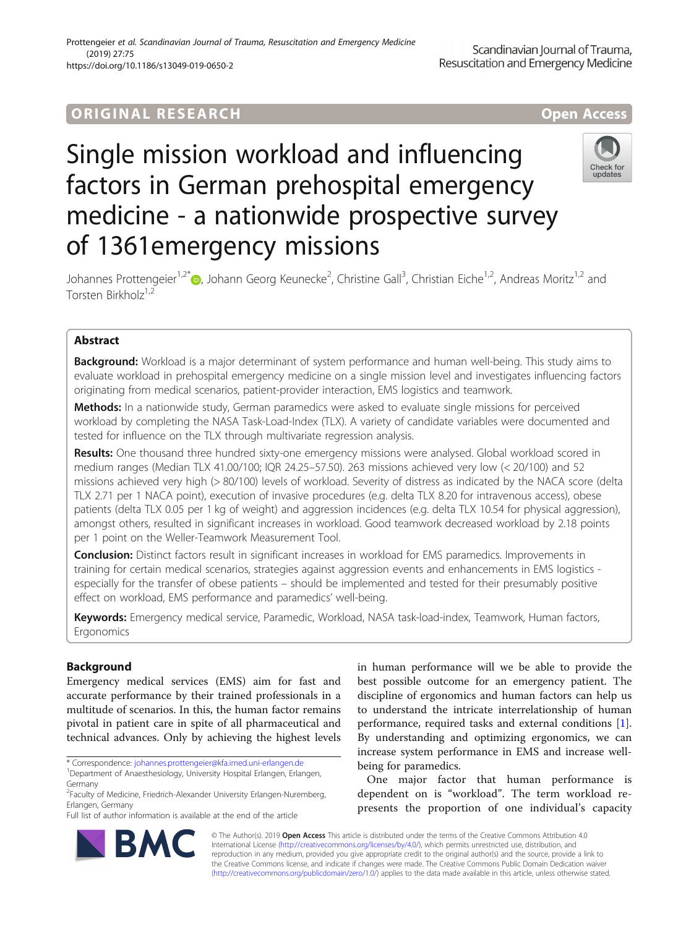## ORIGINA L R E S EA RCH Open Access

# Single mission workload and influencing factors in German prehospital emergency medicine - a nationwide prospective survey of 1361emergency missions



Johannes Prottengeier<sup>1,2\*</sup>®, Johann Georg Keunecke<sup>2</sup>, Christine Gall<sup>3</sup>, Christian Eiche<sup>1,2</sup>, Andreas Moritz<sup>1,2</sup> and Torsten Birkholz<sup>1,2</sup>

## Abstract

**Background:** Workload is a major determinant of system performance and human well-being. This study aims to evaluate workload in prehospital emergency medicine on a single mission level and investigates influencing factors originating from medical scenarios, patient-provider interaction, EMS logistics and teamwork.

Methods: In a nationwide study, German paramedics were asked to evaluate single missions for perceived workload by completing the NASA Task-Load-Index (TLX). A variety of candidate variables were documented and tested for influence on the TLX through multivariate regression analysis.

Results: One thousand three hundred sixty-one emergency missions were analysed. Global workload scored in medium ranges (Median TLX 41.00/100; IQR 24.25–57.50). 263 missions achieved very low (< 20/100) and 52 missions achieved very high (> 80/100) levels of workload. Severity of distress as indicated by the NACA score (delta TLX 2.71 per 1 NACA point), execution of invasive procedures (e.g. delta TLX 8.20 for intravenous access), obese patients (delta TLX 0.05 per 1 kg of weight) and aggression incidences (e.g. delta TLX 10.54 for physical aggression), amongst others, resulted in significant increases in workload. Good teamwork decreased workload by 2.18 points per 1 point on the Weller-Teamwork Measurement Tool.

**Conclusion:** Distinct factors result in significant increases in workload for EMS paramedics. Improvements in training for certain medical scenarios, strategies against aggression events and enhancements in EMS logistics especially for the transfer of obese patients – should be implemented and tested for their presumably positive effect on workload, EMS performance and paramedics' well-being.

Keywords: Emergency medical service, Paramedic, Workload, NASA task-load-index, Teamwork, Human factors, Ergonomics

## Background

Emergency medical services (EMS) aim for fast and accurate performance by their trained professionals in a multitude of scenarios. In this, the human factor remains pivotal in patient care in spite of all pharmaceutical and technical advances. Only by achieving the highest levels

\* Correspondence: [johannes.prottengeier@kfa.imed.uni-erlangen.de](mailto:johannes.prottengeier@kfa.imed.uni-erlangen.de) <sup>1</sup>

Full list of author information is available at the end of the article

in human performance will we be able to provide the best possible outcome for an emergency patient. The discipline of ergonomics and human factors can help us to understand the intricate interrelationship of human performance, required tasks and external conditions [\[1](#page-7-0)]. By understanding and optimizing ergonomics, we can increase system performance in EMS and increase wellbeing for paramedics.

One major factor that human performance is dependent on is "workload". The term workload represents the proportion of one individual's capacity



© The Author(s). 2019 **Open Access** This article is distributed under the terms of the Creative Commons Attribution 4.0 International License [\(http://creativecommons.org/licenses/by/4.0/](http://creativecommons.org/licenses/by/4.0/)), which permits unrestricted use, distribution, and reproduction in any medium, provided you give appropriate credit to the original author(s) and the source, provide a link to the Creative Commons license, and indicate if changes were made. The Creative Commons Public Domain Dedication waiver [\(http://creativecommons.org/publicdomain/zero/1.0/](http://creativecommons.org/publicdomain/zero/1.0/)) applies to the data made available in this article, unless otherwise stated.

<sup>&</sup>lt;sup>1</sup>Department of Anaesthesiology, University Hospital Erlangen, Erlangen, Germany

<sup>&</sup>lt;sup>2</sup>Faculty of Medicine, Friedrich-Alexander University Erlangen-Nuremberg, Erlangen, Germany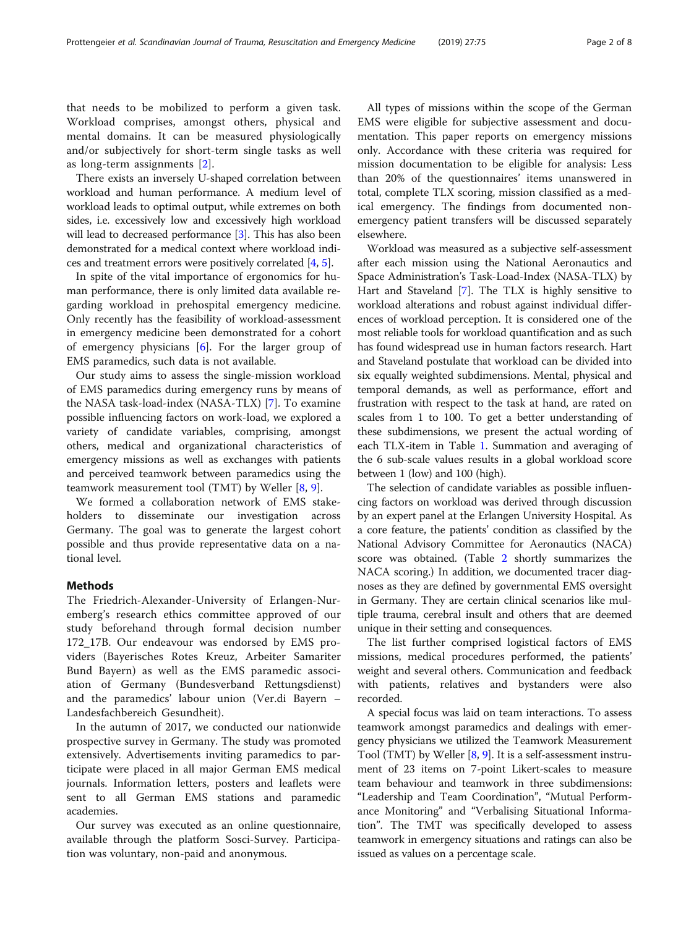that needs to be mobilized to perform a given task. Workload comprises, amongst others, physical and mental domains. It can be measured physiologically and/or subjectively for short-term single tasks as well as long-term assignments [\[2](#page-7-0)].

There exists an inversely U-shaped correlation between workload and human performance. A medium level of workload leads to optimal output, while extremes on both sides, i.e. excessively low and excessively high workload will lead to decreased performance [\[3\]](#page-7-0). This has also been demonstrated for a medical context where workload indices and treatment errors were positively correlated [[4,](#page-7-0) [5](#page-7-0)].

In spite of the vital importance of ergonomics for human performance, there is only limited data available regarding workload in prehospital emergency medicine. Only recently has the feasibility of workload-assessment in emergency medicine been demonstrated for a cohort of emergency physicians  $[6]$  $[6]$ . For the larger group of EMS paramedics, such data is not available.

Our study aims to assess the single-mission workload of EMS paramedics during emergency runs by means of the NASA task-load-index (NASA-TLX) [[7\]](#page-7-0). To examine possible influencing factors on work-load, we explored a variety of candidate variables, comprising, amongst others, medical and organizational characteristics of emergency missions as well as exchanges with patients and perceived teamwork between paramedics using the teamwork measurement tool (TMT) by Weller [[8,](#page-7-0) [9\]](#page-7-0).

We formed a collaboration network of EMS stakeholders to disseminate our investigation across Germany. The goal was to generate the largest cohort possible and thus provide representative data on a national level.

### Methods

The Friedrich-Alexander-University of Erlangen-Nuremberg's research ethics committee approved of our study beforehand through formal decision number 172\_17B. Our endeavour was endorsed by EMS providers (Bayerisches Rotes Kreuz, Arbeiter Samariter Bund Bayern) as well as the EMS paramedic association of Germany (Bundesverband Rettungsdienst) and the paramedics' labour union (Ver.di Bayern – Landesfachbereich Gesundheit).

In the autumn of 2017, we conducted our nationwide prospective survey in Germany. The study was promoted extensively. Advertisements inviting paramedics to participate were placed in all major German EMS medical journals. Information letters, posters and leaflets were sent to all German EMS stations and paramedic academies.

Our survey was executed as an online questionnaire, available through the platform Sosci-Survey. Participation was voluntary, non-paid and anonymous.

All types of missions within the scope of the German EMS were eligible for subjective assessment and documentation. This paper reports on emergency missions only. Accordance with these criteria was required for mission documentation to be eligible for analysis: Less than 20% of the questionnaires' items unanswered in total, complete TLX scoring, mission classified as a medical emergency. The findings from documented nonemergency patient transfers will be discussed separately elsewhere.

Workload was measured as a subjective self-assessment after each mission using the National Aeronautics and Space Administration's Task-Load-Index (NASA-TLX) by Hart and Staveland [\[7](#page-7-0)]. The TLX is highly sensitive to workload alterations and robust against individual differences of workload perception. It is considered one of the most reliable tools for workload quantification and as such has found widespread use in human factors research. Hart and Staveland postulate that workload can be divided into six equally weighted subdimensions. Mental, physical and temporal demands, as well as performance, effort and frustration with respect to the task at hand, are rated on scales from 1 to 100. To get a better understanding of these subdimensions, we present the actual wording of each TLX-item in Table [1.](#page-2-0) Summation and averaging of the 6 sub-scale values results in a global workload score between 1 (low) and 100 (high).

The selection of candidate variables as possible influencing factors on workload was derived through discussion by an expert panel at the Erlangen University Hospital. As a core feature, the patients' condition as classified by the National Advisory Committee for Aeronautics (NACA) score was obtained. (Table [2](#page-2-0) shortly summarizes the NACA scoring.) In addition, we documented tracer diagnoses as they are defined by governmental EMS oversight in Germany. They are certain clinical scenarios like multiple trauma, cerebral insult and others that are deemed unique in their setting and consequences.

The list further comprised logistical factors of EMS missions, medical procedures performed, the patients' weight and several others. Communication and feedback with patients, relatives and bystanders were also recorded.

A special focus was laid on team interactions. To assess teamwork amongst paramedics and dealings with emergency physicians we utilized the Teamwork Measurement Tool (TMT) by Weller [[8](#page-7-0), [9\]](#page-7-0). It is a self-assessment instrument of 23 items on 7-point Likert-scales to measure team behaviour and teamwork in three subdimensions: "Leadership and Team Coordination", "Mutual Performance Monitoring" and "Verbalising Situational Information". The TMT was specifically developed to assess teamwork in emergency situations and ratings can also be issued as values on a percentage scale.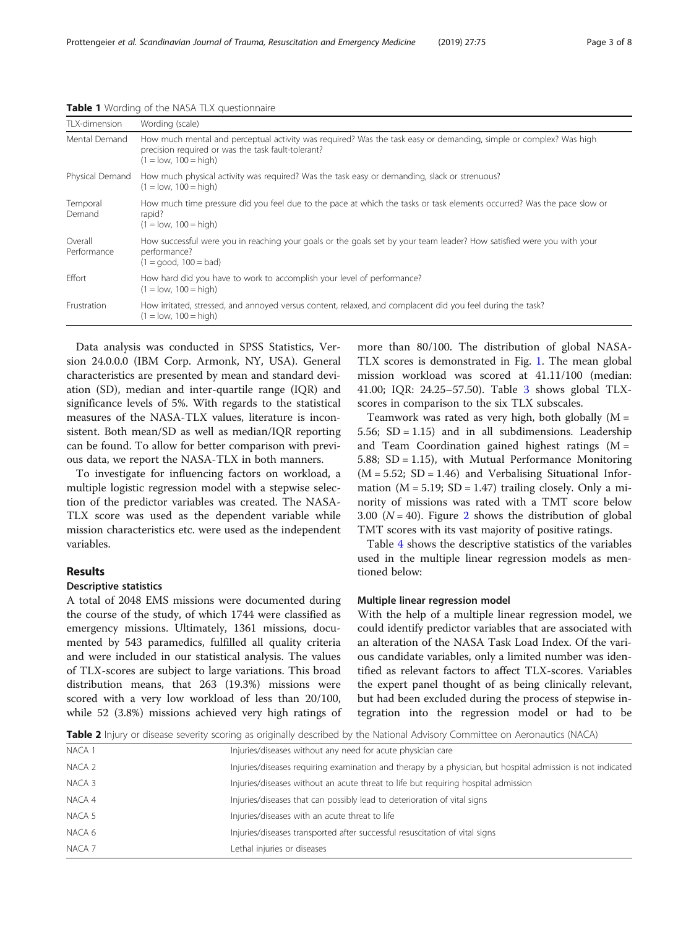| TLX-dimension          | Wording (scale)                                                                                                                                                                                    |
|------------------------|----------------------------------------------------------------------------------------------------------------------------------------------------------------------------------------------------|
| Mental Demand          | How much mental and perceptual activity was required? Was the task easy or demanding, simple or complex? Was high<br>precision required or was the task fault-tolerant?<br>$(1 = low, 100 = high)$ |
| Physical Demand        | How much physical activity was required? Was the task easy or demanding, slack or strenuous?<br>$(1 = low, 100 = high)$                                                                            |
| Temporal<br>Demand     | How much time pressure did you feel due to the pace at which the tasks or task elements occurred? Was the pace slow or<br>rapid?<br>$(1 = low, 100 = high)$                                        |
| Overall<br>Performance | How successful were you in reaching your goals or the goals set by your team leader? How satisfied were you with your<br>performance?<br>$(1 = qood, 100 = bad)$                                   |
| Effort                 | How hard did you have to work to accomplish your level of performance?<br>$(1 = low, 100 = high)$                                                                                                  |
| Frustration            | How irritated, stressed, and annoyed versus content, relaxed, and complacent did you feel during the task?<br>$(1 = low, 100 = high)$                                                              |

<span id="page-2-0"></span>Table 1 Wording of the NASA TLX questionnaire

Data analysis was conducted in SPSS Statistics, Version 24.0.0.0 (IBM Corp. Armonk, NY, USA). General characteristics are presented by mean and standard deviation (SD), median and inter-quartile range (IQR) and significance levels of 5%. With regards to the statistical measures of the NASA-TLX values, literature is inconsistent. Both mean/SD as well as median/IQR reporting can be found. To allow for better comparison with previous data, we report the NASA-TLX in both manners.

To investigate for influencing factors on workload, a multiple logistic regression model with a stepwise selection of the predictor variables was created. The NASA-TLX score was used as the dependent variable while mission characteristics etc. were used as the independent variables.

#### Results

#### Descriptive statistics

A total of 2048 EMS missions were documented during the course of the study, of which 1744 were classified as emergency missions. Ultimately, 1361 missions, documented by 543 paramedics, fulfilled all quality criteria and were included in our statistical analysis. The values of TLX-scores are subject to large variations. This broad distribution means, that 263 (19.3%) missions were scored with a very low workload of less than 20/100, while 52 (3.8%) missions achieved very high ratings of more than 80/100. The distribution of global NASA-TLX scores is demonstrated in Fig. [1.](#page-3-0) The mean global mission workload was scored at 41.11/100 (median: 41.00; IQR: 24.25–57.50). Table [3](#page-3-0) shows global TLXscores in comparison to the six TLX subscales.

Teamwork was rated as very high, both globally  $(M =$ 5.56;  $SD = 1.15$ ) and in all subdimensions. Leadership and Team Coordination gained highest ratings  $(M =$ 5.88; SD = 1.15), with Mutual Performance Monitoring  $(M = 5.52; SD = 1.46)$  and Verbalising Situational Information  $(M = 5.19; SD = 1.47)$  trailing closely. Only a minority of missions was rated with a TMT score below 3.00 ( $N = 40$ ). Figure [2](#page-4-0) shows the distribution of global TMT scores with its vast majority of positive ratings.

Table [4](#page-4-0) shows the descriptive statistics of the variables used in the multiple linear regression models as mentioned below:

### Multiple linear regression model

With the help of a multiple linear regression model, we could identify predictor variables that are associated with an alteration of the NASA Task Load Index. Of the various candidate variables, only a limited number was identified as relevant factors to affect TLX-scores. Variables the expert panel thought of as being clinically relevant, but had been excluded during the process of stepwise integration into the regression model or had to be

Table 2 Injury or disease severity scoring as originally described by the National Advisory Committee on Aeronautics (NACA)

| NACA 1 | Injuries/diseases without any need for acute physician care                                                 |
|--------|-------------------------------------------------------------------------------------------------------------|
| NACA 2 | Injuries/diseases requiring examination and therapy by a physician, but hospital admission is not indicated |
| NACA 3 | Injuries/diseases without an acute threat to life but requiring hospital admission                          |
| NACA 4 | Injuries/diseases that can possibly lead to deterioration of vital signs                                    |
| NACA 5 | Injuries/diseases with an acute threat to life                                                              |
| NACA 6 | Injuries/diseases transported after successful resuscitation of vital signs                                 |
| NACA 7 | Lethal injuries or diseases                                                                                 |
|        |                                                                                                             |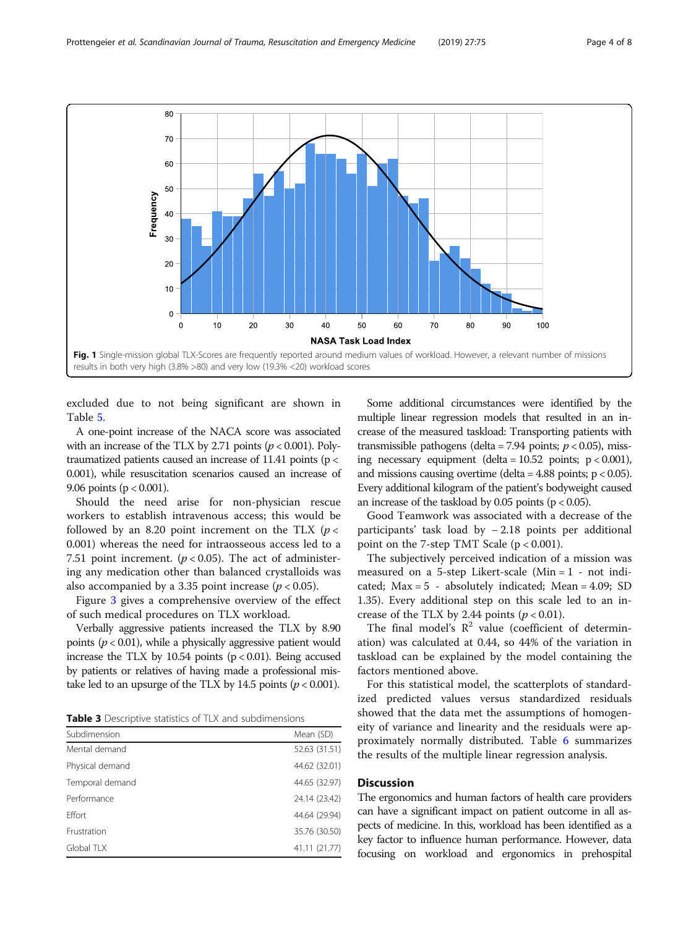<span id="page-3-0"></span>

excluded due to not being significant are shown in Table [5.](#page-4-0)

A one-point increase of the NACA score was associated with an increase of the TLX by 2.71 points ( $p < 0.001$ ). Polytraumatized patients caused an increase of 11.41 points (p < 0.001), while resuscitation scenarios caused an increase of 9.06 points ( $p < 0.001$ ).

Should the need arise for non-physician rescue workers to establish intravenous access; this would be followed by an 8.20 point increment on the TLX  $(p <$ 0.001) whereas the need for intraosseous access led to a 7.51 point increment. ( $p < 0.05$ ). The act of administering any medication other than balanced crystalloids was also accompanied by a 3.35 point increase ( $p < 0.05$ ).

Figure [3](#page-5-0) gives a comprehensive overview of the effect of such medical procedures on TLX workload.

Verbally aggressive patients increased the TLX by 8.90 points ( $p < 0.01$ ), while a physically aggressive patient would increase the TLX by 10.54 points  $(p < 0.01)$ . Being accused by patients or relatives of having made a professional mistake led to an upsurge of the TLX by 14.5 points ( $p < 0.001$ ).

| <b>Table 3</b> Descriptive statistics of TLX and subdimensions |  |
|----------------------------------------------------------------|--|
|----------------------------------------------------------------|--|

| Subdimension    | Mean (SD)     |
|-----------------|---------------|
| Mental demand   | 52.63 (31.51) |
| Physical demand | 44.62 (32.01) |
| Temporal demand | 44.65 (32.97) |
| Performance     | 24.14 (23.42) |
| Effort          | 44.64 (29.94) |
| Frustration     | 35.76 (30.50) |
| Global TLX      | 41.11 (21.77) |

Some additional circumstances were identified by the multiple linear regression models that resulted in an increase of the measured taskload: Transporting patients with transmissible pathogens (delta = 7.94 points;  $p < 0.05$ ), missing necessary equipment (delta =  $10.52$  points;  $p < 0.001$ ), and missions causing overtime (delta =  $4.88$  points;  $p < 0.05$ ). Every additional kilogram of the patient's bodyweight caused an increase of the taskload by  $0.05$  points ( $p < 0.05$ ).

Good Teamwork was associated with a decrease of the participants' task load by − 2.18 points per additional point on the 7-step TMT Scale  $(p < 0.001)$ .

The subjectively perceived indication of a mission was measured on a 5-step Likert-scale (Min = 1 - not indicated; Max = 5 - absolutely indicated; Mean = 4.09; SD 1.35). Every additional step on this scale led to an increase of the TLX by 2.44 points  $(p < 0.01)$ .

The final model's  $\mathbb{R}^2$  value (coefficient of determination) was calculated at 0.44, so 44% of the variation in taskload can be explained by the model containing the factors mentioned above.

For this statistical model, the scatterplots of standardized predicted values versus standardized residuals showed that the data met the assumptions of homogeneity of variance and linearity and the residuals were approximately normally distributed. Table [6](#page-5-0) summarizes the results of the multiple linear regression analysis.

#### **Discussion**

The ergonomics and human factors of health care providers can have a significant impact on patient outcome in all aspects of medicine. In this, workload has been identified as a key factor to influence human performance. However, data focusing on workload and ergonomics in prehospital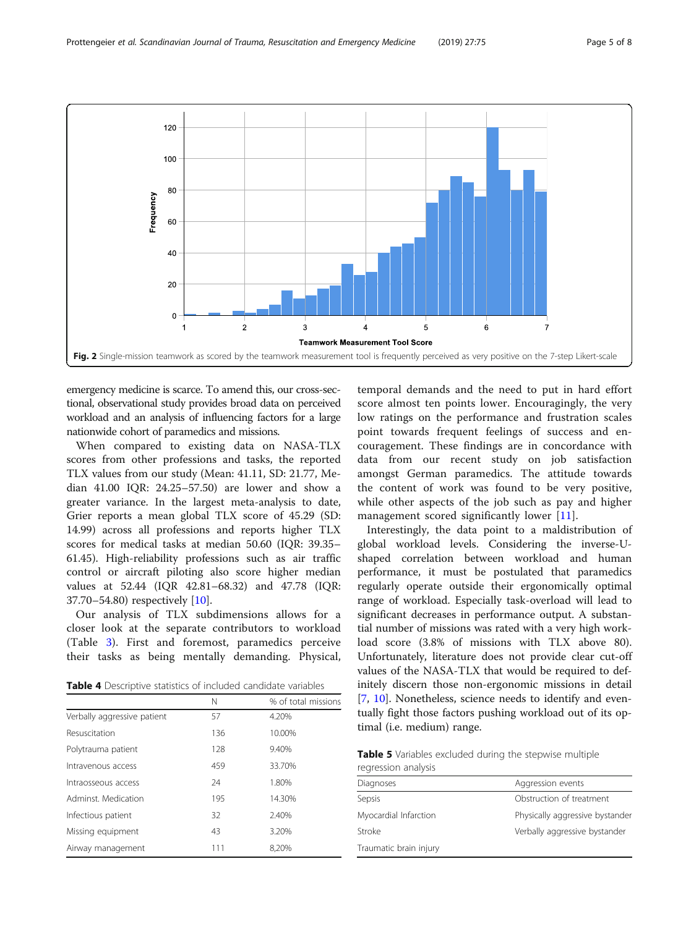<span id="page-4-0"></span>

emergency medicine is scarce. To amend this, our cross-sectional, observational study provides broad data on perceived workload and an analysis of influencing factors for a large nationwide cohort of paramedics and missions.

When compared to existing data on NASA-TLX scores from other professions and tasks, the reported TLX values from our study (Mean: 41.11, SD: 21.77, Median 41.00 IQR: 24.25–57.50) are lower and show a greater variance. In the largest meta-analysis to date, Grier reports a mean global TLX score of 45.29 (SD: 14.99) across all professions and reports higher TLX scores for medical tasks at median 50.60 (IQR: 39.35– 61.45). High-reliability professions such as air traffic control or aircraft piloting also score higher median values at 52.44 (IQR 42.81–68.32) and 47.78 (IQR: 37.70–54.80) respectively [[10\]](#page-7-0).

Our analysis of TLX subdimensions allows for a closer look at the separate contributors to workload (Table [3](#page-3-0)). First and foremost, paramedics perceive their tasks as being mentally demanding. Physical,

Table 4 Descriptive statistics of included candidate variables

|                             | Ν   | % of total missions |
|-----------------------------|-----|---------------------|
| Verbally aggressive patient | 57  | 4.20%               |
| Resuscitation               | 136 | 10.00%              |
| Polytrauma patient          | 128 | 9.40%               |
| Intravenous access          | 459 | 33.70%              |
| Intraosseous access         | 24  | 1.80%               |
| Adminst Medication          | 195 | 14.30%              |
| Infectious patient          | 32  | 2.40%               |
| Missing equipment           | 43  | 3.20%               |
| Airway management           | 111 | 8.20%               |

temporal demands and the need to put in hard effort score almost ten points lower. Encouragingly, the very low ratings on the performance and frustration scales point towards frequent feelings of success and encouragement. These findings are in concordance with data from our recent study on job satisfaction amongst German paramedics. The attitude towards the content of work was found to be very positive, while other aspects of the job such as pay and higher management scored significantly lower [\[11](#page-7-0)].

Interestingly, the data point to a maldistribution of global workload levels. Considering the inverse-Ushaped correlation between workload and human performance, it must be postulated that paramedics regularly operate outside their ergonomically optimal range of workload. Especially task-overload will lead to significant decreases in performance output. A substantial number of missions was rated with a very high workload score (3.8% of missions with TLX above 80). Unfortunately, literature does not provide clear cut-off values of the NASA-TLX that would be required to definitely discern those non-ergonomic missions in detail [[7,](#page-7-0) [10](#page-7-0)]. Nonetheless, science needs to identify and eventually fight those factors pushing workload out of its optimal (i.e. medium) range.

Table 5 Variables excluded during the stepwise multiple regression analysis

| Diagnoses              | Aggression events               |
|------------------------|---------------------------------|
| Sepsis                 | Obstruction of treatment        |
| Myocardial Infarction  | Physically aggressive bystander |
| Stroke                 | Verbally aggressive bystander   |
| Traumatic brain injury |                                 |
|                        |                                 |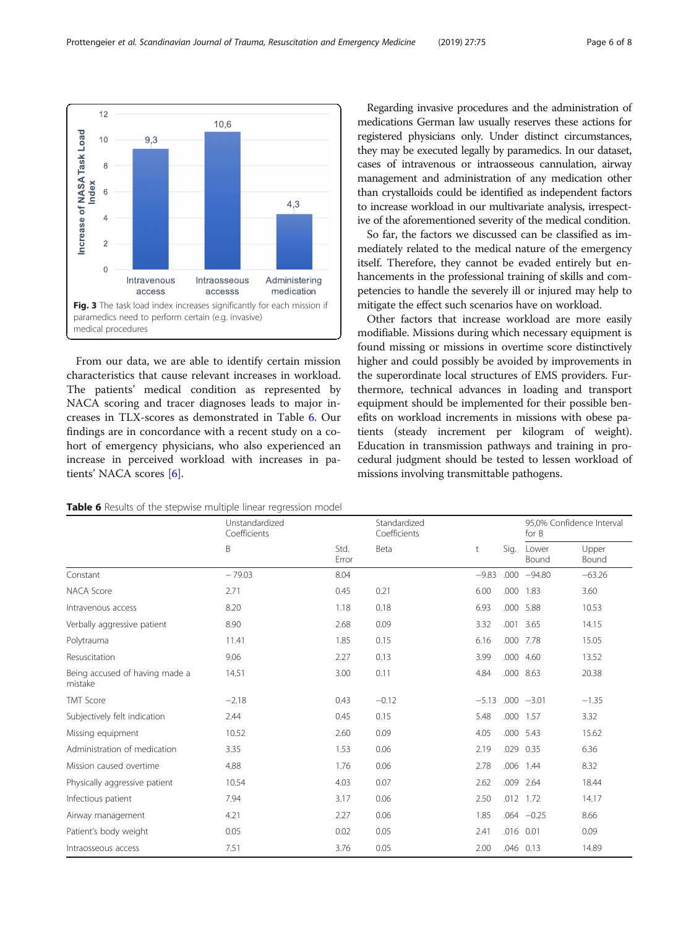<span id="page-5-0"></span>

From our data, we are able to identify certain mission characteristics that cause relevant increases in workload. The patients' medical condition as represented by NACA scoring and tracer diagnoses leads to major increases in TLX-scores as demonstrated in Table 6. Our findings are in concordance with a recent study on a cohort of emergency physicians, who also experienced an increase in perceived workload with increases in patients' NACA scores [\[6](#page-7-0)].

Table 6 Results of the stepwise multiple linear regression model

Regarding invasive procedures and the administration of medications German law usually reserves these actions for registered physicians only. Under distinct circumstances, they may be executed legally by paramedics. In our dataset, cases of intravenous or intraosseous cannulation, airway management and administration of any medication other than crystalloids could be identified as independent factors to increase workload in our multivariate analysis, irrespective of the aforementioned severity of the medical condition.

So far, the factors we discussed can be classified as immediately related to the medical nature of the emergency itself. Therefore, they cannot be evaded entirely but enhancements in the professional training of skills and competencies to handle the severely ill or injured may help to mitigate the effect such scenarios have on workload.

Other factors that increase workload are more easily modifiable. Missions during which necessary equipment is found missing or missions in overtime score distinctively higher and could possibly be avoided by improvements in the superordinate local structures of EMS providers. Furthermore, technical advances in loading and transport equipment should be implemented for their possible benefits on workload increments in missions with obese patients (steady increment per kilogram of weight). Education in transmission pathways and training in procedural judgment should be tested to lessen workload of missions involving transmittable pathogens.

|                                           | Unstandardized<br>Coefficients |               | Standardized<br>Coefficients |         |           | 95,0% Confidence Interval<br>for B |                |
|-------------------------------------------|--------------------------------|---------------|------------------------------|---------|-----------|------------------------------------|----------------|
|                                           | B                              | Std.<br>Error | Beta                         | t       | Sig.      | Lower<br>Bound                     | Upper<br>Bound |
| Constant                                  | $-79.03$                       | 8.04          |                              | $-9.83$ | .000      | $-94.80$                           | $-63.26$       |
| NACA Score                                | 2.71                           | 0.45          | 0.21                         | 6.00    | .000      | 1.83                               | 3.60           |
| Intravenous access                        | 8.20                           | 1.18          | 0.18                         | 6.93    |           | .000 5.88                          | 10.53          |
| Verbally aggressive patient               | 8.90                           | 2.68          | 0.09                         | 3.32    | .001      | 3.65                               | 14.15          |
| Polytrauma                                | 11.41                          | 1.85          | 0.15                         | 6.16    |           | .000 7.78                          | 15.05          |
| Resuscitation                             | 9.06                           | 2.27          | 0.13                         | 3.99    | .000      | 4.60                               | 13.52          |
| Being accused of having made a<br>mistake | 14.51                          | 3.00          | 0.11                         | 4.84    |           | .000 8.63                          | 20.38          |
| <b>TMT Score</b>                          | $-2.18$                        | 0.43          | $-0.12$                      | $-5.13$ |           | $.000 -3.01$                       | $-1.35$        |
| Subjectively felt indication              | 2.44                           | 0.45          | 0.15                         | 5.48    |           | .000 1.57                          | 3.32           |
| Missing equipment                         | 10.52                          | 2.60          | 0.09                         | 4.05    |           | .000 5.43                          | 15.62          |
| Administration of medication              | 3.35                           | 1.53          | 0.06                         | 2.19    | .029      | 0.35                               | 6.36           |
| Mission caused overtime                   | 4.88                           | 1.76          | 0.06                         | 2.78    | .006      | 1.44                               | 8.32           |
| Physically aggressive patient             | 10.54                          | 4.03          | 0.07                         | 2.62    | .009      | 2.64                               | 18.44          |
| Infectious patient                        | 7.94                           | 3.17          | 0.06                         | 2.50    |           | .012 1.72                          | 14.17          |
| Airway management                         | 4.21                           | 2.27          | 0.06                         | 1.85    |           | $.064 - 0.25$                      | 8.66           |
| Patient's body weight                     | 0.05                           | 0.02          | 0.05                         | 2.41    | .016 0.01 |                                    | 0.09           |
| Intraosseous access                       | 7.51                           | 3.76          | 0.05                         | 2.00    |           | .046 0.13                          | 14.89          |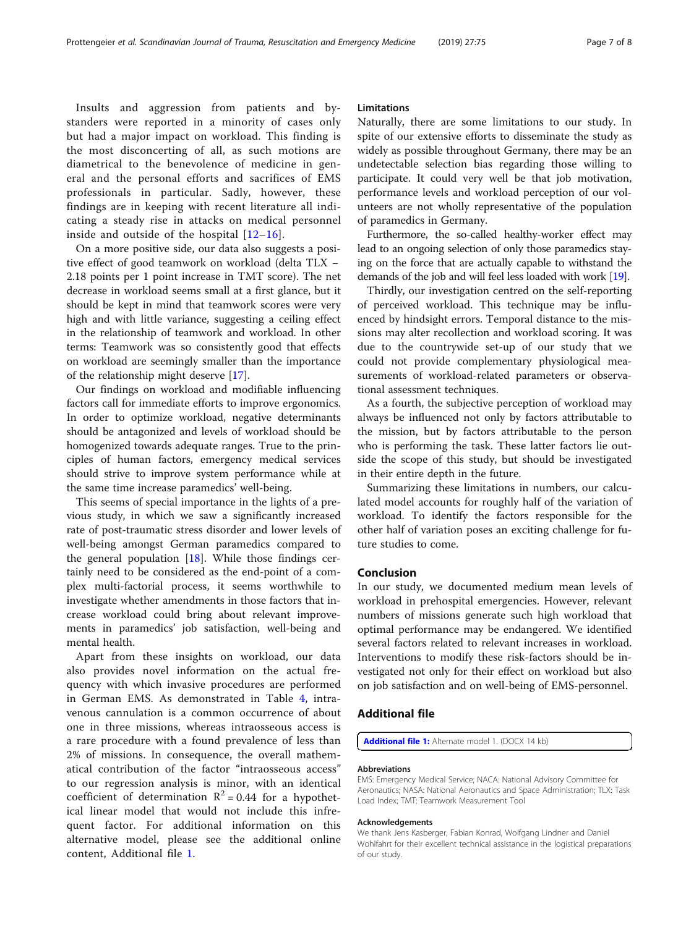Insults and aggression from patients and bystanders were reported in a minority of cases only but had a major impact on workload. This finding is the most disconcerting of all, as such motions are diametrical to the benevolence of medicine in general and the personal efforts and sacrifices of EMS professionals in particular. Sadly, however, these findings are in keeping with recent literature all indicating a steady rise in attacks on medical personnel inside and outside of the hospital  $[12-16]$  $[12-16]$  $[12-16]$  $[12-16]$  $[12-16]$ .

On a more positive side, our data also suggests a positive effect of good teamwork on workload (delta TLX − 2.18 points per 1 point increase in TMT score). The net decrease in workload seems small at a first glance, but it should be kept in mind that teamwork scores were very high and with little variance, suggesting a ceiling effect in the relationship of teamwork and workload. In other terms: Teamwork was so consistently good that effects on workload are seemingly smaller than the importance of the relationship might deserve [[17\]](#page-7-0).

Our findings on workload and modifiable influencing factors call for immediate efforts to improve ergonomics. In order to optimize workload, negative determinants should be antagonized and levels of workload should be homogenized towards adequate ranges. True to the principles of human factors, emergency medical services should strive to improve system performance while at the same time increase paramedics' well-being.

This seems of special importance in the lights of a previous study, in which we saw a significantly increased rate of post-traumatic stress disorder and lower levels of well-being amongst German paramedics compared to the general population  $[18]$  $[18]$ . While those findings certainly need to be considered as the end-point of a complex multi-factorial process, it seems worthwhile to investigate whether amendments in those factors that increase workload could bring about relevant improvements in paramedics' job satisfaction, well-being and mental health.

Apart from these insights on workload, our data also provides novel information on the actual frequency with which invasive procedures are performed in German EMS. As demonstrated in Table [4](#page-4-0), intravenous cannulation is a common occurrence of about one in three missions, whereas intraosseous access is a rare procedure with a found prevalence of less than 2% of missions. In consequence, the overall mathematical contribution of the factor "intraosseous access" to our regression analysis is minor, with an identical coefficient of determination  $R^2 = 0.44$  for a hypothetical linear model that would not include this infrequent factor. For additional information on this alternative model, please see the additional online content, Additional file 1.

#### Limitations

Naturally, there are some limitations to our study. In spite of our extensive efforts to disseminate the study as widely as possible throughout Germany, there may be an undetectable selection bias regarding those willing to participate. It could very well be that job motivation, performance levels and workload perception of our volunteers are not wholly representative of the population of paramedics in Germany.

Furthermore, the so-called healthy-worker effect may lead to an ongoing selection of only those paramedics staying on the force that are actually capable to withstand the demands of the job and will feel less loaded with work [\[19\]](#page-7-0).

Thirdly, our investigation centred on the self-reporting of perceived workload. This technique may be influenced by hindsight errors. Temporal distance to the missions may alter recollection and workload scoring. It was due to the countrywide set-up of our study that we could not provide complementary physiological measurements of workload-related parameters or observational assessment techniques.

As a fourth, the subjective perception of workload may always be influenced not only by factors attributable to the mission, but by factors attributable to the person who is performing the task. These latter factors lie outside the scope of this study, but should be investigated in their entire depth in the future.

Summarizing these limitations in numbers, our calculated model accounts for roughly half of the variation of workload. To identify the factors responsible for the other half of variation poses an exciting challenge for future studies to come.

#### Conclusion

In our study, we documented medium mean levels of workload in prehospital emergencies. However, relevant numbers of missions generate such high workload that optimal performance may be endangered. We identified several factors related to relevant increases in workload. Interventions to modify these risk-factors should be investigated not only for their effect on workload but also on job satisfaction and on well-being of EMS-personnel.

#### Additional file

[Additional file 1:](https://doi.org/10.1186/s13049-019-0650-2) Alternate model 1. (DOCX 14 kb)

#### Abbreviations

EMS: Emergency Medical Service; NACA: National Advisory Committee for Aeronautics; NASA: National Aeronautics and Space Administration; TLX: Task Load Index; TMT: Teamwork Measurement Tool

#### Acknowledgements

We thank Jens Kasberger, Fabian Konrad, Wolfgang Lindner and Daniel Wohlfahrt for their excellent technical assistance in the logistical preparations of our study.